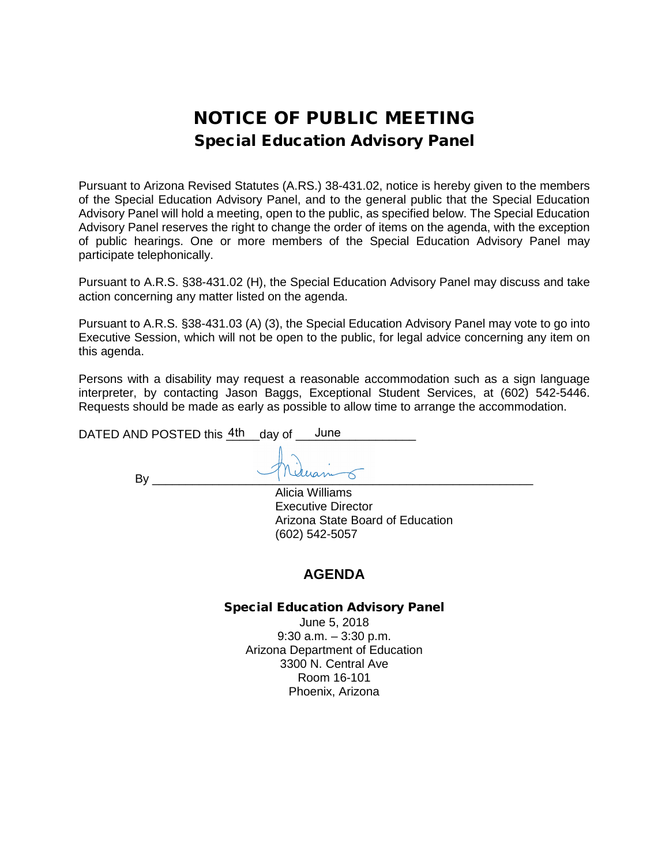# NOTICE OF PUBLIC MEETING Special Education Advisory Panel

Pursuant to Arizona Revised Statutes (A.RS.) 38-431.02, notice is hereby given to the members of the Special Education Advisory Panel, and to the general public that the Special Education Advisory Panel will hold a meeting, open to the public, as specified below. The Special Education Advisory Panel reserves the right to change the order of items on the agenda, with the exception of public hearings. One or more members of the Special Education Advisory Panel may participate telephonically.

Pursuant to A.R.S. §38-431.02 (H), the Special Education Advisory Panel may discuss and take action concerning any matter listed on the agenda.

Pursuant to A.R.S. §38-431.03 (A) (3), the Special Education Advisory Panel may vote to go into Executive Session, which will not be open to the public, for legal advice concerning any item on this agenda.

Persons with a disability may request a reasonable accommodation such as a sign language interpreter, by contacting Jason Baggs, Exceptional Student Services, at (602) 542-5446. Requests should be made as early as possible to allow time to arrange the accommodation.

DATED AND POSTED this  $\frac{4\text{th}}{4}$  day of  $\frac{1}{2}$  June

By \_\_\_\_\_\_\_\_\_\_\_\_\_\_\_\_\_\_\_\_\_\_\_\_\_\_\_\_\_\_\_\_\_\_\_\_\_\_\_\_\_\_\_\_\_\_\_\_\_\_\_\_\_\_\_\_\_

Alicia Williams Executive Director Arizona State Board of Education (602) 542-5057

### **AGENDA**

#### Special Education Advisory Panel

June 5, 2018 9:30 a.m. – 3:30 p.m. Arizona Department of Education 3300 N. Central Ave Room 16-101 Phoenix, Arizona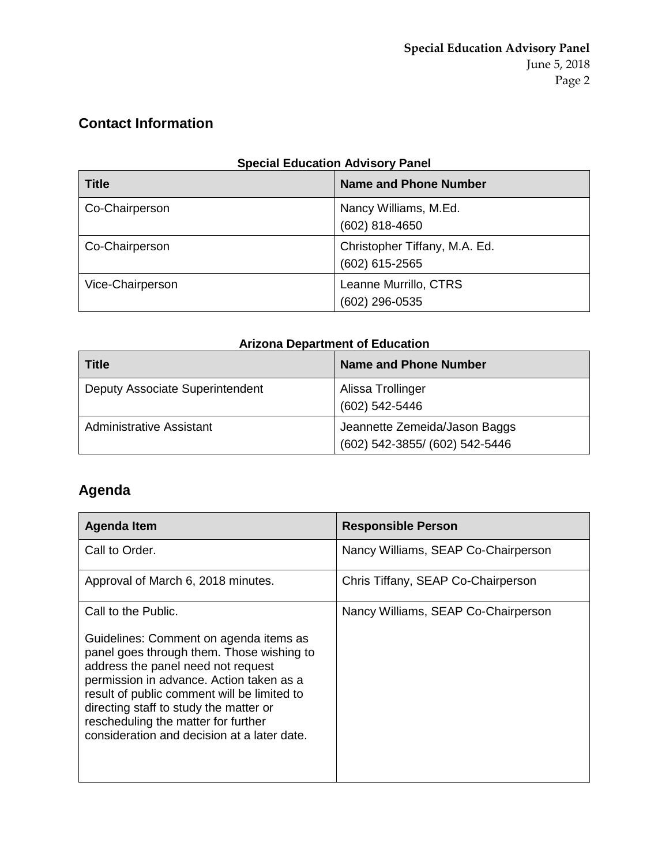## **Contact Information**

| <b>Special Education Advisory Panel</b> |
|-----------------------------------------|
|-----------------------------------------|

| <b>Title</b>     | <b>Name and Phone Number</b>                    |
|------------------|-------------------------------------------------|
| Co-Chairperson   | Nancy Williams, M.Ed.<br>(602) 818-4650         |
| Co-Chairperson   | Christopher Tiffany, M.A. Ed.<br>(602) 615-2565 |
| Vice-Chairperson | Leanne Murrillo, CTRS<br>(602) 296-0535         |

## **Arizona Department of Education**

| <b>Title</b>                    | <b>Name and Phone Number</b>                                    |
|---------------------------------|-----------------------------------------------------------------|
| Deputy Associate Superintendent | Alissa Trollinger<br>(602) 542-5446                             |
| <b>Administrative Assistant</b> | Jeannette Zemeida/Jason Baggs<br>(602) 542-3855/ (602) 542-5446 |

# **Agenda**

| Agenda Item                                                                                                                                                                                                                                                                                                                                                                 | <b>Responsible Person</b>           |
|-----------------------------------------------------------------------------------------------------------------------------------------------------------------------------------------------------------------------------------------------------------------------------------------------------------------------------------------------------------------------------|-------------------------------------|
| Call to Order.                                                                                                                                                                                                                                                                                                                                                              | Nancy Williams, SEAP Co-Chairperson |
| Approval of March 6, 2018 minutes.                                                                                                                                                                                                                                                                                                                                          | Chris Tiffany, SEAP Co-Chairperson  |
| Call to the Public.<br>Guidelines: Comment on agenda items as<br>panel goes through them. Those wishing to<br>address the panel need not request<br>permission in advance. Action taken as a<br>result of public comment will be limited to<br>directing staff to study the matter or<br>rescheduling the matter for further<br>consideration and decision at a later date. | Nancy Williams, SEAP Co-Chairperson |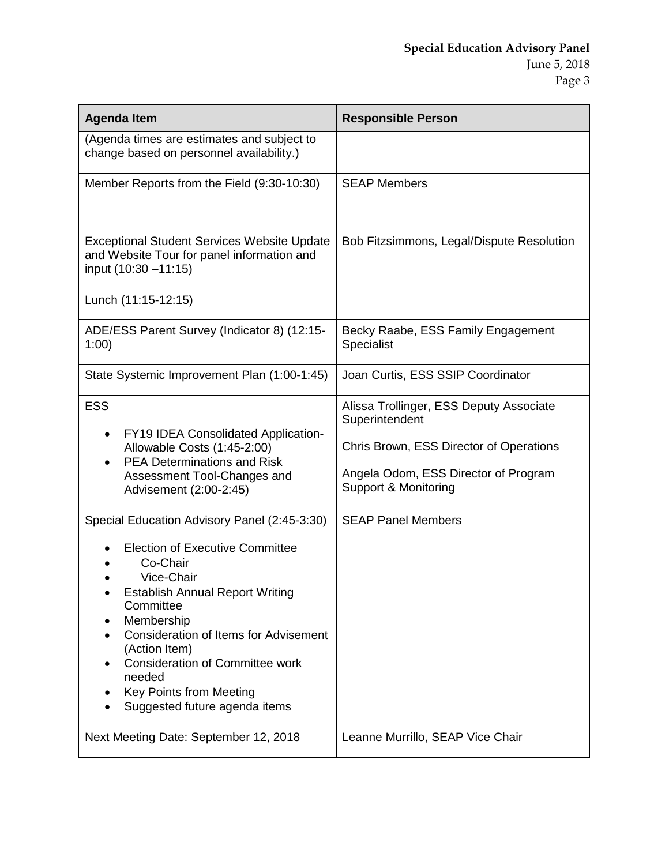| <b>Agenda Item</b>                                                                                                                                                                                                                                                                                                                                              | <b>Responsible Person</b>                                                                                                                                            |
|-----------------------------------------------------------------------------------------------------------------------------------------------------------------------------------------------------------------------------------------------------------------------------------------------------------------------------------------------------------------|----------------------------------------------------------------------------------------------------------------------------------------------------------------------|
| (Agenda times are estimates and subject to<br>change based on personnel availability.)                                                                                                                                                                                                                                                                          |                                                                                                                                                                      |
| Member Reports from the Field (9:30-10:30)                                                                                                                                                                                                                                                                                                                      | <b>SEAP Members</b>                                                                                                                                                  |
| <b>Exceptional Student Services Website Update</b><br>and Website Tour for panel information and<br>input (10:30 - 11:15)                                                                                                                                                                                                                                       | Bob Fitzsimmons, Legal/Dispute Resolution                                                                                                                            |
| Lunch (11:15-12:15)                                                                                                                                                                                                                                                                                                                                             |                                                                                                                                                                      |
| ADE/ESS Parent Survey (Indicator 8) (12:15-<br>1:00)                                                                                                                                                                                                                                                                                                            | Becky Raabe, ESS Family Engagement<br>Specialist                                                                                                                     |
| State Systemic Improvement Plan (1:00-1:45)                                                                                                                                                                                                                                                                                                                     | Joan Curtis, ESS SSIP Coordinator                                                                                                                                    |
| <b>ESS</b><br><b>FY19 IDEA Consolidated Application-</b><br>$\bullet$<br>Allowable Costs (1:45-2:00)<br><b>PEA Determinations and Risk</b><br>Assessment Tool-Changes and<br>Advisement (2:00-2:45)                                                                                                                                                             | Alissa Trollinger, ESS Deputy Associate<br>Superintendent<br>Chris Brown, ESS Director of Operations<br>Angela Odom, ESS Director of Program<br>Support & Monitoring |
| Special Education Advisory Panel (2:45-3:30)<br><b>Election of Executive Committee</b><br>Co-Chair<br>Vice-Chair<br><b>Establish Annual Report Writing</b><br>Committee<br>Membership<br>Consideration of Items for Advisement<br>(Action Item)<br><b>Consideration of Committee work</b><br>needed<br>Key Points from Meeting<br>Suggested future agenda items | <b>SEAP Panel Members</b>                                                                                                                                            |
| Next Meeting Date: September 12, 2018                                                                                                                                                                                                                                                                                                                           | Leanne Murrillo, SEAP Vice Chair                                                                                                                                     |